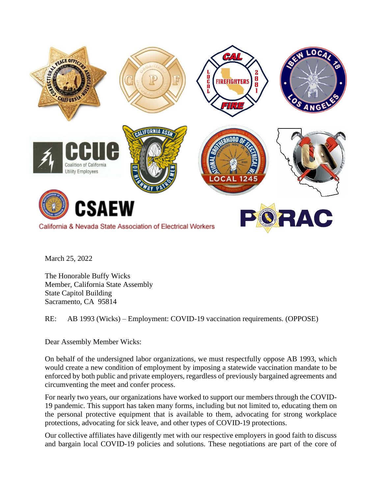

March 25, 2022

The Honorable Buffy Wicks Member, California State Assembly State Capitol Building Sacramento, CA 95814

RE: AB 1993 (Wicks) – Employment: COVID-19 vaccination requirements. (OPPOSE)

Dear Assembly Member Wicks:

On behalf of the undersigned labor organizations, we must respectfully oppose AB 1993, which would create a new condition of employment by imposing a statewide vaccination mandate to be enforced by both public and private employers, regardless of previously bargained agreements and circumventing the meet and confer process.

For nearly two years, our organizations have worked to support our members through the COVID-19 pandemic. This support has taken many forms, including but not limited to, educating them on the personal protective equipment that is available to them, advocating for strong workplace protections, advocating for sick leave, and other types of COVID-19 protections.

Our collective affiliates have diligently met with our respective employers in good faith to discuss and bargain local COVID-19 policies and solutions. These negotiations are part of the core of